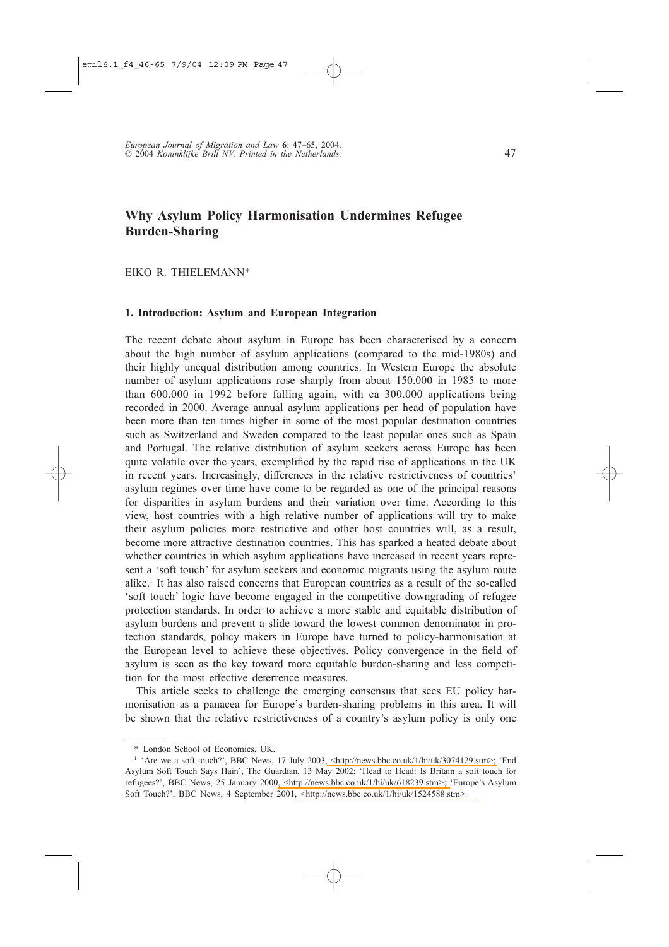# Why Asylum Policy Harmonisation Undermines Refugee **Burden-Sharing**

EIKO R. THIELEMANN\*

## 1. Introduction: Asylum and European Integration

The recent debate about asylum in Europe has been characterised by a concern about the high number of asylum applications (compared to the mid-1980s) and their highly unequal distribution among countries. In Western Europe the absolute number of asylum applications rose sharply from about 150,000 in 1985 to more than 600.000 in 1992 before falling again, with ca 300.000 applications being recorded in 2000. Average annual asylum applications per head of population have been more than ten times higher in some of the most popular destination countries such as Switzerland and Sweden compared to the least popular ones such as Spain and Portugal. The relative distribution of asylum seekers across Europe has been quite volatile over the years, exemplified by the rapid rise of applications in the UK in recent years. Increasingly, differences in the relative restrictiveness of countries' asylum regimes over time have come to be regarded as one of the principal reasons for disparities in asylum burdens and their variation over time. According to this view, host countries with a high relative number of applications will try to make their asylum policies more restrictive and other host countries will, as a result, become more attractive destination countries. This has sparked a heated debate about whether countries in which asylum applications have increased in recent years represent a 'soft touch' for asylum seekers and economic migrants using the asylum route alike.<sup>1</sup> It has also raised concerns that European countries as a result of the so-called 's oft touch' logic have become engaged in the competitive downgrading of refugee protection standards. In order to achieve a more stable and equitable distribution of asylum burdens and prevent a slide toward the lowest common denominator in protection standards, policy makers in Europe have turned to policy-harmonisation at the European level to achieve these objectives. Policy convergence in the field of asylum is seen as the key toward more equitable burden-sharing and less competition for the most effective deterrence measures.

This article seeks to challenge the emerging consensus that sees EU policy harmonisation as a panacea for Europe's burden-sharing problems in this area. It will be shown that the relative restrictiveness of a country's asylum policy is only one

<sup>\*</sup> London School of Economics, UK.

<sup>&</sup>lt;sup>1</sup> 'Are we a soft touch?', BBC News, 17 July 2003, <http://news.bbc.co.uk/1/hi/uk/3074129.stm>; 'End Asylum Soft Touch Says Hain', The Guardian, 13 May 2002; 'Head to Head: Is Britain a soft touch for refugees?', BBC News, 25 January 2000, <http://news.bbc.co.uk/1/hi/uk/618239.stm>; 'Europe's Asylum Soft Touch?', BBC News, 4 September 2001, <http://news.bbc.co.uk/1/hi/uk/1524588.stm>.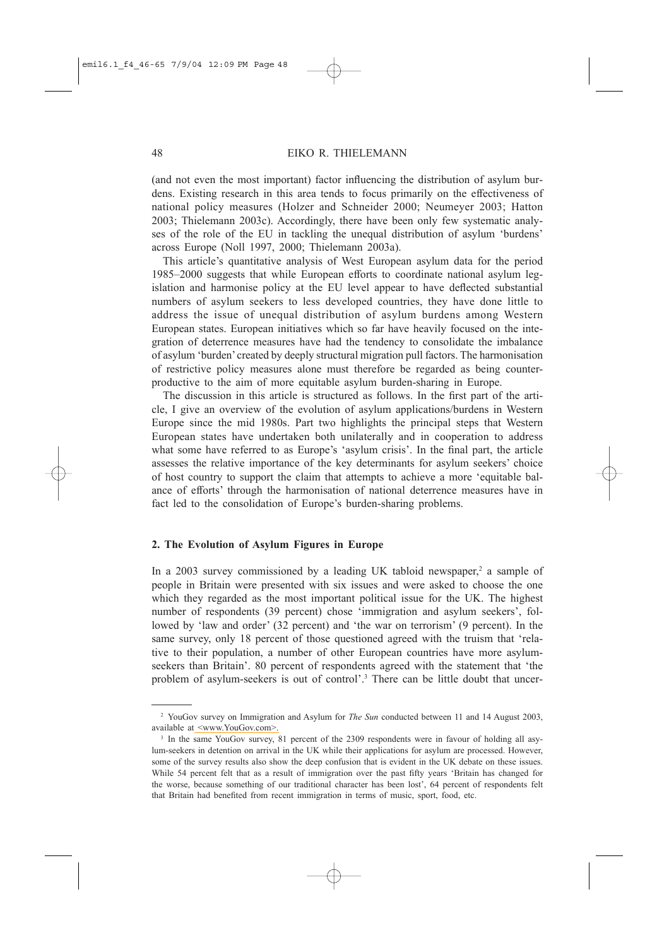(and not even the most important) factor influencing the distribution of asylum burdens. Existing research in this area tends to focus primarily on the effectiveness of national policy measures (Holzer and Schneider 2000; Neumeyer 2003; Hatton 2003; Thielemann 2003c). Accordingly, there have been only few systematic analyses of the role of the EU in tackling the unequal distribution of asylum 'burdens' across Europe (Noll 1997, 2000; Thielemann 2003a).

This article's quantitative analysis of West European asylum data for the period 1985-2000 suggests that while European efforts to coordinate national asylum legislation and harmonise policy at the EU level appear to have deflected substantial numbers of asylum seekers to less developed countries, they have done little to address the issue of unequal distribution of asylum burdens among Western European states. European initiatives which so far have heavily focused on the integration of deterrence measures have had the tendency to consolidate the imbalance of asylum 'burden' created by deeply structural migration pull factors. The harmonisation of restrictive policy measures alone must therefore be regarded as being counterproductive to the aim of more equitable asylum burden-sharing in Europe.

The discussion in this article is structured as follows. In the first part of the article, I give an overview of the evolution of asylum applications/burdens in Western Europe since the mid 1980s. Part two highlights the principal steps that Western European states have undertaken both unilaterally and in cooperation to address what some have referred to as Europe's 'asylum crisis'. In the final part, the article assesses the relative importance of the key determinants for asylum seekers' choice of host country to support the claim that attempts to achieve a more 'equitable balance of efforts' through the harmonisation of national deterrence measures have in fact led to the consolidation of Europe's burden-sharing problems.

## 2. The Evolution of Asylum Figures in Europe

In a 2003 survey commissioned by a leading UK tabloid newspaper,<sup>2</sup> a sample of people in Britain were presented with six issues and were asked to choose the one which they regarded as the most important political issue for the UK. The highest number of respondents (39 percent) chose 'immigration and asylum seekers', followed by 'law and order' (32 percent) and 'the war on terrorism' (9 percent). In the same survey, only 18 percent of those questioned agreed with the truism that 'relative to their population, a number of other European countries have more asylumseekers than Britain'. 80 percent of respondents agreed with the statement that 'the problem of asylum-seekers is out of control'.<sup>3</sup> There can be little doubt that uncer-

<sup>&</sup>lt;sup>2</sup> YouGov survey on Immigration and Asylum for *The Sun* conducted between 11 and 14 August 2003, available at <www.YouGov.com>.

<sup>&</sup>lt;sup>3</sup> In the same YouGov survey, 81 percent of the 2309 respondents were in favour of holding all asylum-seekers in detention on arrival in the UK while their applications for asylum are processed. However, some of the survey results also show the deep confusion that is evident in the UK debate on these issues. While 54 percent felt that as a result of immigration over the past fifty years 'Britain has changed for the worse, because something of our traditional character has been lost', 64 percent of respondents felt that Britain had benefited from recent immigration in terms of music, sport, food, etc.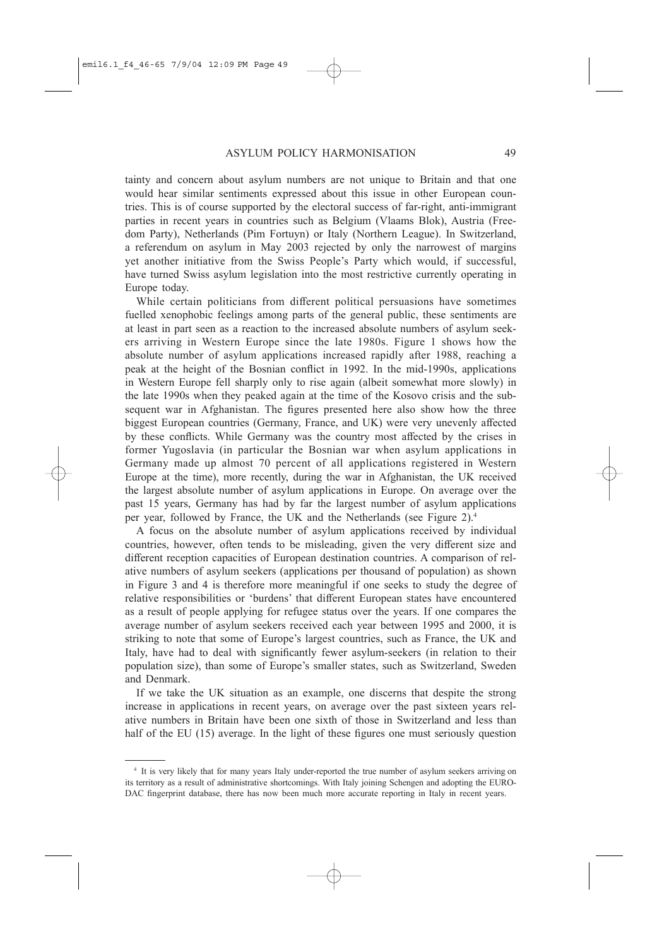tainty and concern about asylum numbers are not unique to Britain and that one would hear similar sentiments expressed about this issue in other European countries. This is of course supported by the electoral success of far-right, anti-immigrant parties in recent years in countries such as Belgium (Vlaams Blok), Austria (Freedom Party), Netherlands (Pim Fortuyn) or Italy (Northern League). In Switzerland, a referendum on asylum in May 2003 rejected by only the narrowest of margins yet another initiative from the Swiss People's Party which would, if successful, have turned Swiss asylum legislation into the most restrictive currently operating in Europe today.

While certain politicians from different political persuasions have sometimes fuelled xenophobic feelings among parts of the general public, these sentiments are at least in part seen as a reaction to the increased absolute numbers of asylum seekers arriving in Western Europe since the late 1980s. Figure 1 shows how the absolute number of asylum applications increased rapidly after 1988, reaching a peak at the height of the Bosnian conflict in 1992. In the mid-1990s, applications in Western Europe fell sharply only to rise again (albeit somewhat more slowly) in the late 1990s when they peaked again at the time of the Kosovo crisis and the subsequent war in Afghanistan. The figures presented here also show how the three biggest European countries (Germany, France, and UK) were very unevenly affected by these conflicts. While Germany was the country most affected by the crises in former Yugoslavia (in particular the Bosnian war when asylum applications in Germany made up almost 70 percent of all applications registered in Western Europe at the time), more recently, during the war in Afghanistan, the UK received the largest absolute number of asylum applications in Europe. On average over the past 15 years, Germany has had by far the largest number of asylum applications per year, followed by France, the UK and the Netherlands (see Figure 2).<sup>4</sup>

A focus on the absolute number of asylum applications received by individual countries, however, often tends to be misleading, given the very different size and different reception capacities of European destination countries. A comparison of relative numbers of asylum seekers (applications per thousand of population) as shown in Figure 3 and 4 is therefore more meaningful if one seeks to study the degree of relative responsibilities or 'burdens' that different European states have encountered as a result of people applying for refugee status over the years. If one compares the average number of asylum seekers received each year between 1995 and 2000, it is striking to note that some of Europe's largest countries, such as France, the UK and Italy, have had to deal with significantly fewer asylum-seekers (in relation to their population size), than some of Europe's smaller states, such as Switzerland, Sweden and Denmark.

If we take the UK situation as an example, one discerns that despite the strong increase in applications in recent years, on average over the past sixteen years relative numbers in Britain have been one sixth of those in Switzerland and less than half of the EU (15) average. In the light of these figures one must seriously question

<sup>&</sup>lt;sup>4</sup> It is very likely that for many years Italy under-reported the true number of asylum seekers arriving on its territory as a result of administrative shortcomings. With Italy joining Schengen and adopting the EURO-DAC fingerprint database, there has now been much more accurate reporting in Italy in recent years.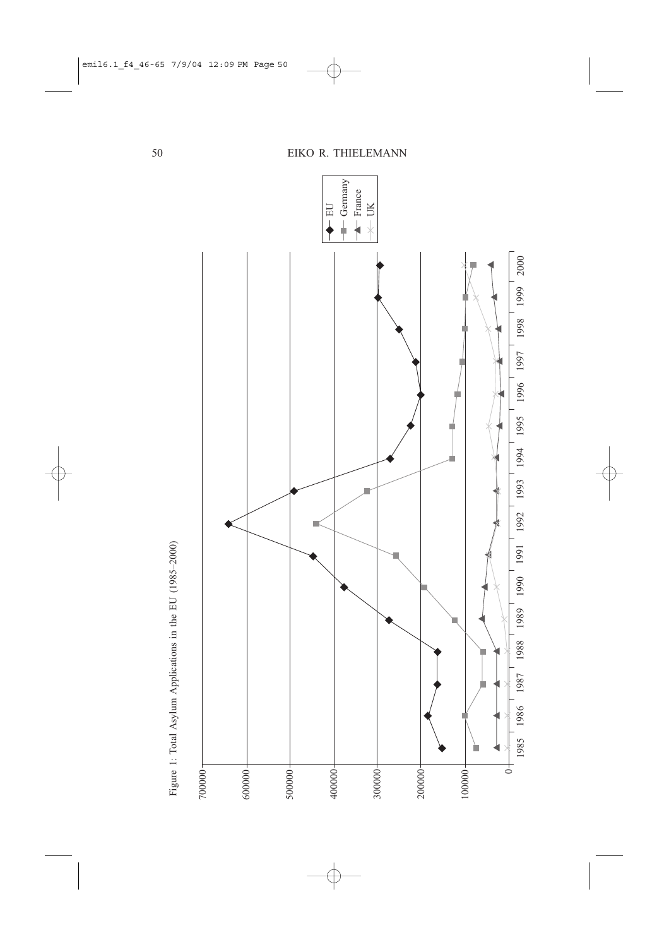

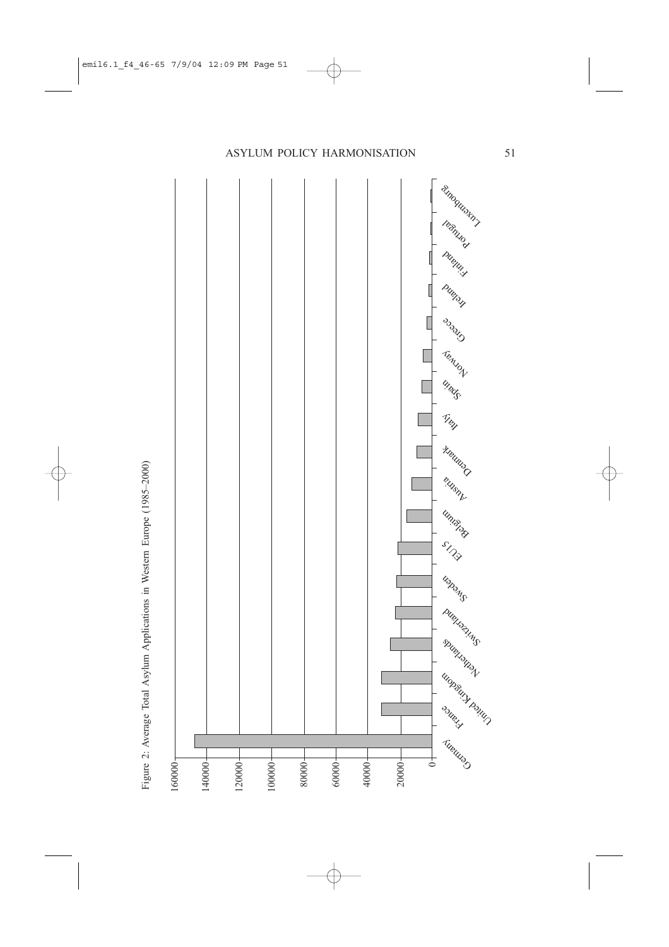

Figure 2: Average Total Asylum Applications in Western Europe (1985-2000)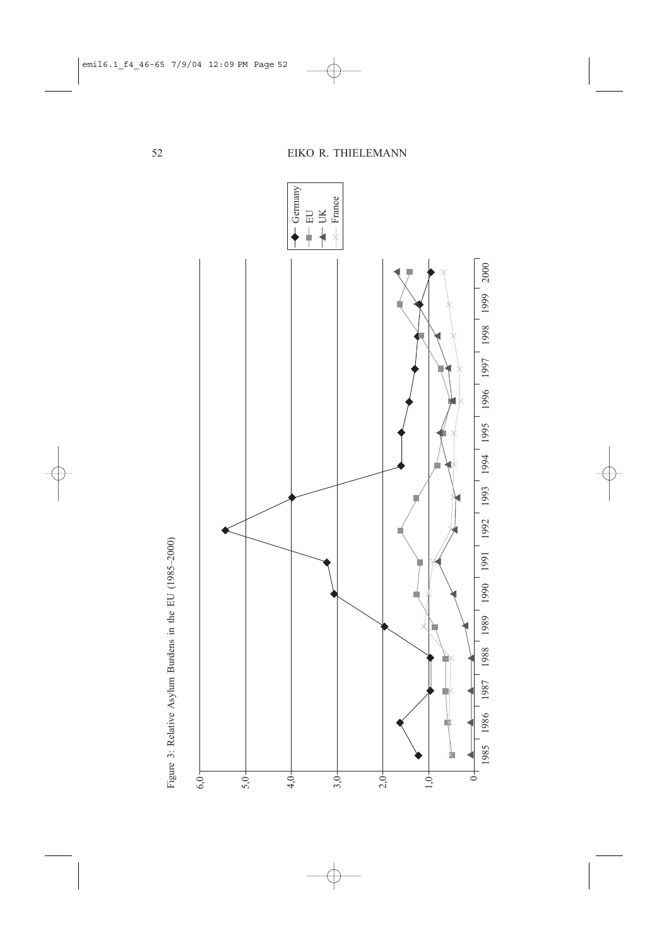

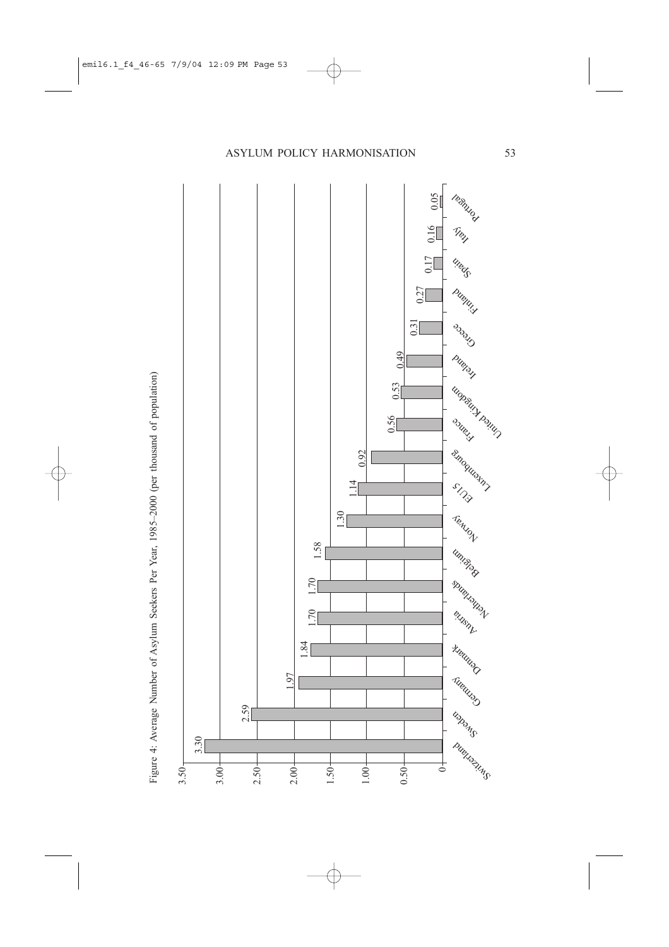

Figure 4: Average Number of Asylum Seekers Per Year, 1985-2000 (per thousand of population)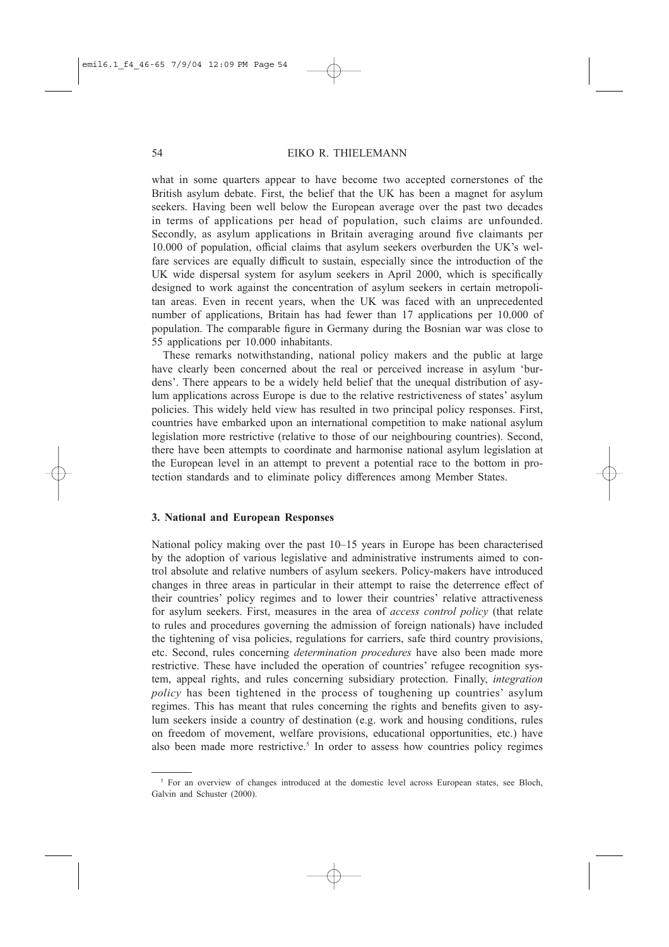what in some quarters appear to have become two accepted cornerstones of the British asylum debate. First, the belief that the UK has been a magnet for asylum seekers. Having been well below the European average over the past two decades in terms of applications per head of population, such claims are unfounded. Secondly, as asylum applications in Britain averaging around five claimants per 10.000 of population, official claims that asylum seekers overburden the UK's welfare services are equally difficult to sustain, especially since the introduction of the UK wide dispersal system for asylum seekers in April 2000, which is specifically designed to work against the concentration of asylum seekers in certain metropolitan areas. Even in recent years, when the UK was faced with an unprecedented number of applications, Britain has had fewer than 17 applications per 10.000 of population. The comparable figure in Germany during the Bosnian war was close to 55 applications per 10.000 inhabitants.

These remarks notwithstanding, national policy makers and the public at large have clearly been concerned about the real or perceived increase in asylum 'burdens'. There appears to be a widely held belief that the unequal distribution of asylum applications across Europe is due to the relative restrictiveness of states' asylum policies. This widely held view has resulted in two principal policy responses. First, countries have embarked upon an international competition to make national asylum legislation more restrictive (relative to those of our neighbouring countries). Second, there have been attempts to coordinate and harmonise national asylum legislation at the European level in an attempt to prevent a potential race to the bottom in protection standards and to eliminate policy differences among Member States.

#### 3. National and European Responses

National policy making over the past 10–15 years in Europe has been characterised by the adoption of various legislative and administrative instruments aimed to control absolute and relative numbers of asylum seekers. Policy-makers have introduced changes in three areas in particular in their attempt to raise the deterrence effect of their countries' policy regimes and to lower their countries' relative attractiveness for asylum seekers. First, measures in the area of *access control policy* (that relate to rules and procedures governing the admission of foreign nationals) have included the tightening of visa policies, regulations for carriers, safe third country provisions, etc. Second, rules concerning *determination procedures* have also been made more restrictive. These have included the operation of countries' refugee recognition system, appeal rights, and rules concerning subsidiary protection. Finally, integration *policy* has been tightened in the process of toughening up countries' asylum regimes. This has meant that rules concerning the rights and benefits given to asylum seekers inside a country of destination (e.g. work and housing conditions, rules on freedom of movement, welfare provisions, educational opportunities, etc.) have also been made more restrictive.<sup>5</sup> In order to assess how countries policy regimes

<sup>&</sup>lt;sup>5</sup> For an overview of changes introduced at the domestic level across European states, see Bloch, Galvin and Schuster (2000).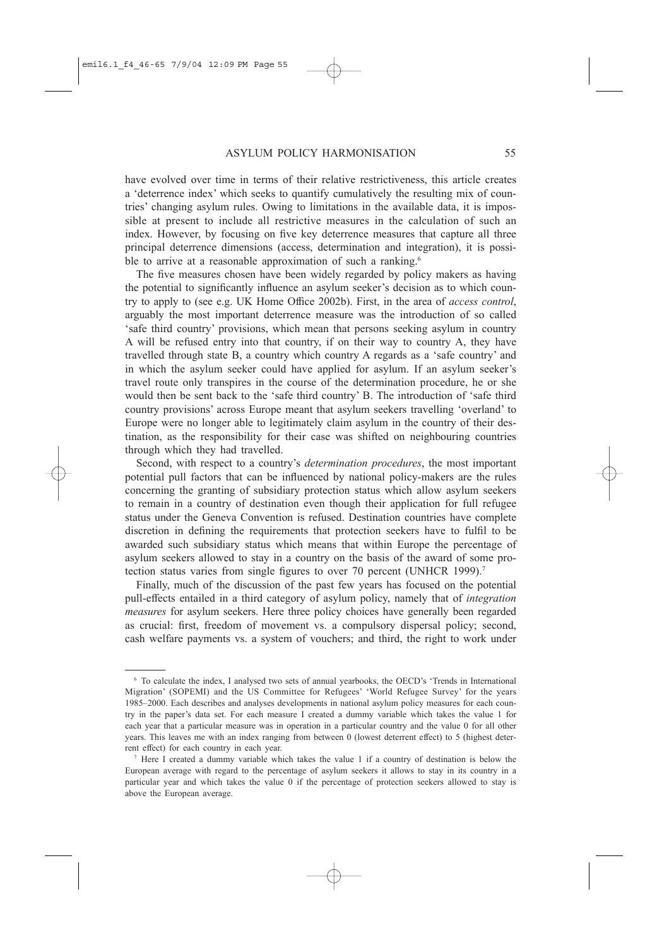have evolved over time in terms of their relative restrictiveness, this article creates a 'deterrence index' which seeks to quantify cumulatively the resulting mix of countries' changing asylum rules. Owing to limitations in the available data, it is impossible at present to include all restrictive measures in the calculation of such an index. However, by focusing on five key deterrence measures that capture all three principal deterrence dimensions (access, determination and integration), it is possible to arrive at a reasonable approximation of such a ranking.<sup>6</sup>

The five measures chosen have been widely regarded by policy makers as having the potential to significantly influence an asylum seeker's decision as to which country to apply to (see e.g. UK Home Office 2002b). First, in the area of *access control*, arguably the most important deterrence measure was the introduction of so called 'safe third country' provisions, which mean that persons seeking asylum in country A will be refused entry into that country, if on their way to country A, they have travelled through state B, a country which country A regards as a 'safe country' and in which the asylum seeker could have applied for asylum. If an asylum seeker's travel route only transpires in the course of the determination procedure, he or she would then be sent back to the 'safe third country' B. The introduction of 'safe third country provisions' across Europe meant that asylum seekers travelling 'overland' to Europe were no longer able to legitimately claim asylum in the country of their destination, as the responsibility for their case was shifted on neighbouring countries through which they had travelled.

Second, with respect to a country's *determination procedures*, the most important potential pull factors that can be influenced by national policy-makers are the rules concerning the granting of subsidiary protection status which allow asylum seekers to remain in a country of destination even though their application for full refugee status under the Geneva Convention is refused. Destination countries have complete discretion in defining the requirements that protection seekers have to fulfil to be awarded such subsidiary status which means that within Europe the percentage of asylum seekers allowed to stay in a country on the basis of the award of some protection status varies from single figures to over 70 percent (UNHCR 1999).<sup>7</sup>

Finally, much of the discussion of the past few years has focused on the potential pull-effects entailed in a third category of asylum policy, namely that of *integration measures* for asylum seekers. Here three policy choices have generally been regarded as crucial: first, freedom of movement vs. a compulsory dispersal policy; second, cash welfare payments vs. a system of vouchers; and third, the right to work under

<sup>&</sup>lt;sup>6</sup> To calculate the index, I analysed two sets of annual yearbooks, the OECD's 'Trends in International Migration' (SOPEMI) and the US Committee for Refugees' 'World Refugee Survey' for the years 1985–2000. Each describes and analyses developments in national asylum policy measures for each country in the paper's data set. For each measure I created a dummy variable which takes the value 1 for each year that a particular measure was in operation in a particular country and the value 0 for all other years. This leaves me with an index ranging from between 0 (lowest deterrent effect) to 5 (highest deterrent effect) for each country in each year.

<sup>&</sup>lt;sup>7</sup> Here I created a dummy variable which takes the value 1 if a country of destination is below the European average with regard to the percentage of asylum seekers it allows to stay in its country in a particular year and which takes the value 0 if the percentage of protection seekers allowed to stay is above the European average.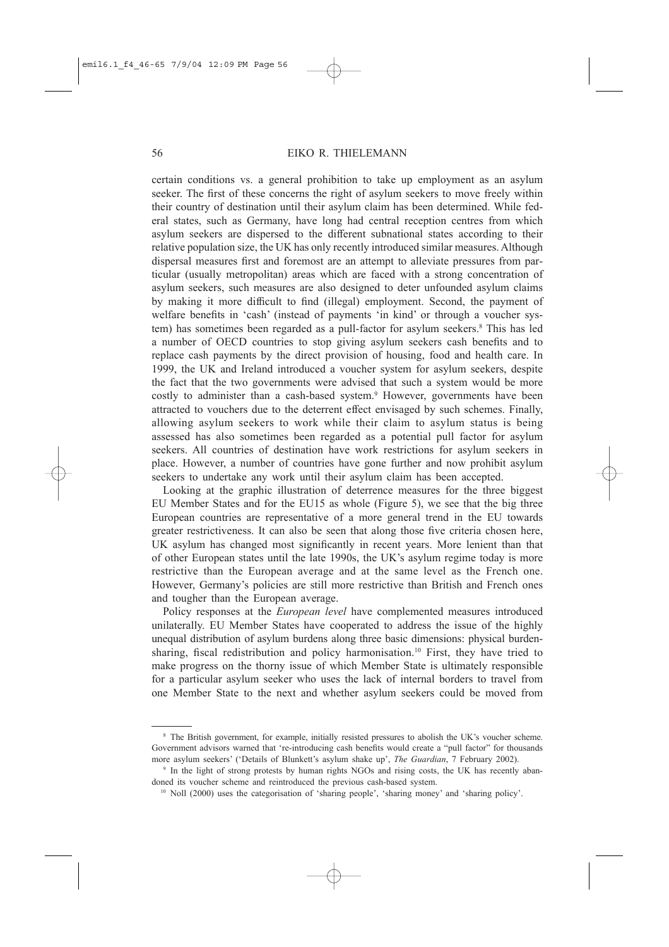certain conditions vs. a general prohibition to take up employment as an asylum seeker. The first of these concerns the right of asylum seekers to move freely within their country of destination until their asylum claim has been determined. While federal states, such as Germany, have long had central reception centres from which asylum seekers are dispersed to the different subnational states according to their relative population size, the UK has only recently introduced similar measures. Although dispersal measures first and foremost are an attempt to alleviate pressures from particular (usually metropolitan) areas which are faced with a strong concentration of asylum seekers, such measures are also designed to deter unfounded asylum claims by making it more difficult to find (illegal) employment. Second, the payment of welfare benefits in 'cash' (instead of payments 'in kind' or through a voucher system) has sometimes been regarded as a pull-factor for asylum seekers.<sup>8</sup> This has led a number of OECD countries to stop giving asylum seekers cash benefits and to replace cash payments by the direct provision of housing, food and health care. In 1999, the UK and Ireland introduced a voucher system for asylum seekers, despite the fact that the two governments were advised that such a system would be more costly to administer than a cash-based system.<sup>9</sup> However, governments have been attracted to vouchers due to the deterrent effect envisaged by such schemes. Finally, allowing asylum seekers to work while their claim to asylum status is being assessed has also sometimes been regarded as a potential pull factor for asylum seekers. All countries of destination have work restrictions for asylum seekers in place. However, a number of countries have gone further and now prohibit asylum seekers to undertake any work until their asylum claim has been accepted.

Looking at the graphic illustration of deterrence measures for the three biggest EU Member States and for the EU15 as whole (Figure 5), we see that the big three European countries are representative of a more general trend in the EU towards greater restrictiveness. It can also be seen that along those five criteria chosen here, UK asylum has changed most significantly in recent years. More lenient than that of other European states until the late 1990s, the UK's asylum regime today is more restrictive than the European average and at the same level as the French one. However, Germany's policies are still more restrictive than British and French ones and tougher than the European average.

Policy responses at the *European level* have complemented measures introduced unilaterally. EU Member States have cooperated to address the issue of the highly unequal distribution of asylum burdens along three basic dimensions: physical burdensharing, fiscal redistribution and policy harmonisation.<sup>10</sup> First, they have tried to make progress on the thorny issue of which Member State is ultimately responsible for a particular asylum seeker who uses the lack of internal borders to travel from one Member State to the next and whether asylum seekers could be moved from

<sup>&</sup>lt;sup>8</sup> The British government, for example, initially resisted pressures to abolish the UK's voucher scheme. Government advisors warned that 're-introducing cash benefits would create a "pull factor" for thousands more asylum seekers' ('Details of Blunkett's asylum shake up', The Guardian, 7 February 2002).

<sup>&</sup>lt;sup>9</sup> In the light of strong protests by human rights NGOs and rising costs, the UK has recently abandoned its voucher scheme and reintroduced the previous cash-based system.

<sup>&</sup>lt;sup>10</sup> Noll (2000) uses the categorisation of 'sharing people', 'sharing money' and 'sharing policy'.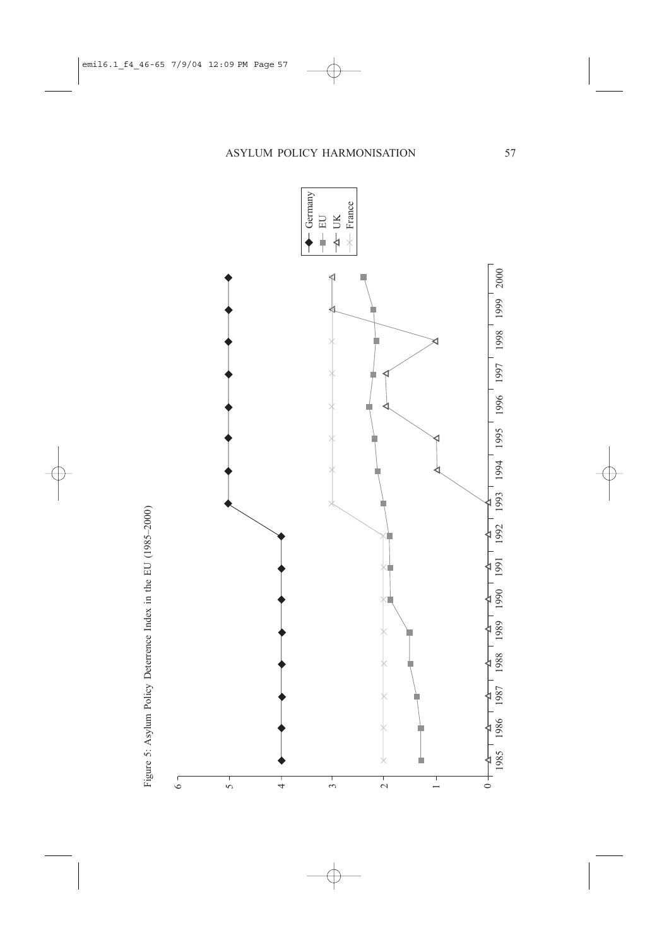

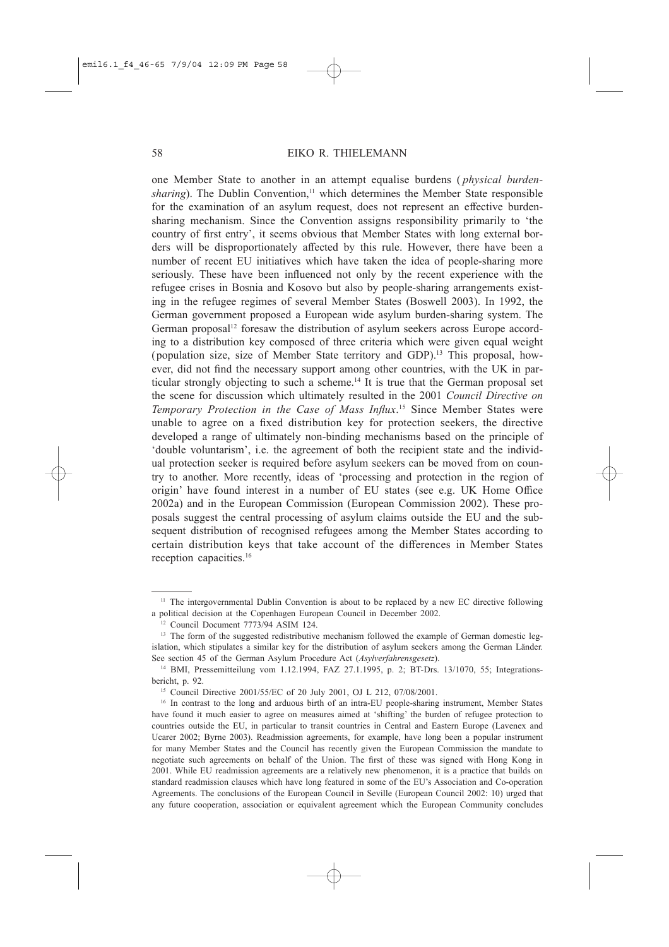## EIKO R. THIELEMANN

one Member State to another in an attempt equalise burdens (*physical burden*sharing). The Dublin Convention,<sup>11</sup> which determines the Member State responsible for the examination of an asylum request, does not represent an effective burdensharing mechanism. Since the Convention assigns responsibility primarily to 'the country of first entry', it seems obvious that Member States with long external borders will be disproportionately affected by this rule. However, there have been a number of recent EU initiatives which have taken the idea of people-sharing more seriously. These have been influenced not only by the recent experience with the refugee crises in Bosnia and Kosovo but also by people-sharing arrangements existing in the refugee regimes of several Member States (Boswell 2003). In 1992, the German government proposed a European wide asylum burden-sharing system. The German proposal<sup>12</sup> foresaw the distribution of asylum seekers across Europe according to a distribution key composed of three criteria which were given equal weight (population size, size of Member State territory and GDP).<sup>13</sup> This proposal, however, did not find the necessary support among other countries, with the UK in particular strongly objecting to such a scheme.<sup>14</sup> It is true that the German proposal set the scene for discussion which ultimately resulted in the 2001 Council Directive on Temporary Protection in the Case of Mass Influx.<sup>15</sup> Since Member States were unable to agree on a fixed distribution key for protection seekers, the directive developed a range of ultimately non-binding mechanisms based on the principle of 'double voluntarism', i.e. the agreement of both the recipient state and the individual protection seeker is required before asylum seekers can be moved from on country to another. More recently, ideas of 'processing and protection in the region of origin' have found interest in a number of EU states (see e.g. UK Home Office 2002a) and in the European Commission (European Commission 2002). These proposals suggest the central processing of asylum claims outside the EU and the subsequent distribution of recognised refugees among the Member States according to certain distribution keys that take account of the differences in Member States reception capacities.<sup>16</sup>

<sup>&</sup>lt;sup>11</sup> The intergovernmental Dublin Convention is about to be replaced by a new EC directive following a political decision at the Copenhagen European Council in December 2002.

<sup>&</sup>lt;sup>12</sup> Council Document 7773/94 ASIM 124.

<sup>&</sup>lt;sup>13</sup> The form of the suggested redistributive mechanism followed the example of German domestic legislation, which stipulates a similar key for the distribution of asylum seekers among the German Länder. See section 45 of the German Asylum Procedure Act (Asylverfahrensgesetz).

<sup>&</sup>lt;sup>14</sup> BMI, Pressemitteilung vom 1.12.1994, FAZ 27.1.1995, p. 2; BT-Drs. 13/1070, 55; Integrationsbericht, p. 92.

<sup>&</sup>lt;sup>15</sup> Council Directive 2001/55/EC of 20 July 2001, OJ L 212, 07/08/2001.

<sup>&</sup>lt;sup>16</sup> In contrast to the long and arduous birth of an intra-EU people-sharing instrument, Member States have found it much easier to agree on measures aimed at 'shifting' the burden of refugee protection to countries outside the EU, in particular to transit countries in Central and Eastern Europe (Lavenex and Ucarer 2002; Byrne 2003). Readmission agreements, for example, have long been a popular instrument for many Member States and the Council has recently given the European Commission the mandate to negotiate such agreements on behalf of the Union. The first of these was signed with Hong Kong in 2001. While EU readmission agreements are a relatively new phenomenon, it is a practice that builds on standard readmission clauses which have long featured in some of the EU's Association and Co-operation Agreements. The conclusions of the European Council in Seville (European Council 2002: 10) urged that any future cooperation, association or equivalent agreement which the European Community concludes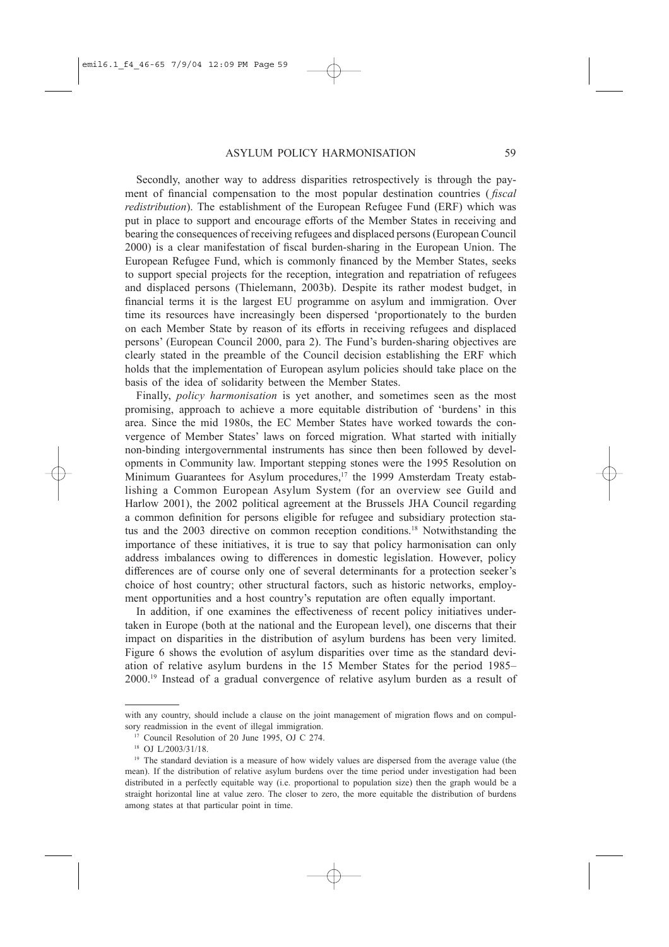Secondly, another way to address disparities retrospectively is through the payment of financial compensation to the most popular destination countries (*fiscal redistribution*). The establishment of the European Refugee Fund (ERF) which was put in place to support and encourage efforts of the Member States in receiving and bearing the consequences of receiving refugees and displaced persons (European Council 2000) is a clear manifestation of fiscal burden-sharing in the European Union. The European Refugee Fund, which is commonly financed by the Member States, seeks to support special projects for the reception, integration and repatriation of refugees and displaced persons (Thielemann, 2003b). Despite its rather modest budget, in financial terms it is the largest EU programme on asylum and immigration. Over time its resources have increasingly been dispersed 'proportionately to the burden on each Member State by reason of its efforts in receiving refugees and displaced persons' (European Council 2000, para 2). The Fund's burden-sharing objectives are clearly stated in the preamble of the Council decision establishing the ERF which holds that the implementation of European asylum policies should take place on the basis of the idea of solidarity between the Member States.

Finally, policy harmonisation is yet another, and sometimes seen as the most promising, approach to achieve a more equitable distribution of 'burdens' in this area. Since the mid 1980s, the EC Member States have worked towards the convergence of Member States' laws on forced migration. What started with initially non-binding intergovernmental instruments has since then been followed by developments in Community law. Important stepping stones were the 1995 Resolution on Minimum Guarantees for Asylum procedures,<sup>17</sup> the 1999 Amsterdam Treaty establishing a Common European Asylum System (for an overview see Guild and Harlow 2001), the 2002 political agreement at the Brussels JHA Council regarding a common definition for persons eligible for refugee and subsidiary protection status and the 2003 directive on common reception conditions.<sup>18</sup> Notwithstanding the importance of these initiatives, it is true to say that policy harmonisation can only address imbalances owing to differences in domestic legislation. However, policy differences are of course only one of several determinants for a protection seeker's choice of host country; other structural factors, such as historic networks, employment opportunities and a host country's reputation are often equally important.

In addition, if one examines the effectiveness of recent policy initiatives undertaken in Europe (both at the national and the European level), one discerns that their impact on disparities in the distribution of asylum burdens has been very limited. Figure 6 shows the evolution of asylum disparities over time as the standard deviation of relative asylum burdens in the 15 Member States for the period 1985– 2000.<sup>19</sup> Instead of a gradual convergence of relative asylum burden as a result of

with any country, should include a clause on the joint management of migration flows and on compulsory readmission in the event of illegal immigration.

<sup>&</sup>lt;sup>17</sup> Council Resolution of 20 June 1995, OJ C 274.

<sup>&</sup>lt;sup>18</sup> OJ L/2003/31/18.

<sup>&</sup>lt;sup>19</sup> The standard deviation is a measure of how widely values are dispersed from the average value (the mean). If the distribution of relative asylum burdens over the time period under investigation had been distributed in a perfectly equitable way (i.e. proportional to population size) then the graph would be a straight horizontal line at value zero. The closer to zero, the more equitable the distribution of burdens among states at that particular point in time.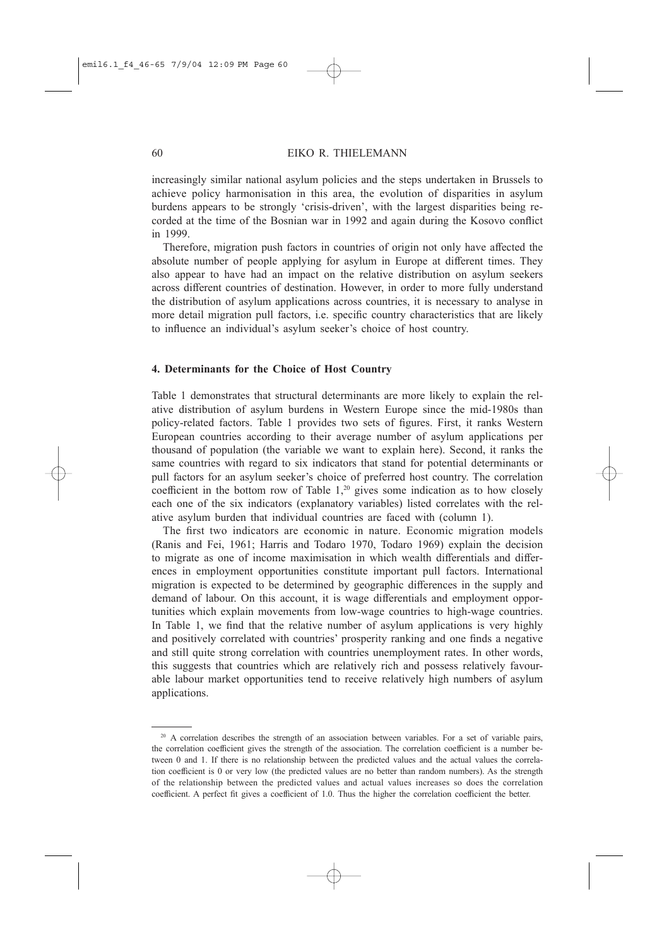increasingly similar national asylum policies and the steps undertaken in Brussels to achieve policy harmonisation in this area, the evolution of disparities in asylum burdens appears to be strongly 'crisis-driven', with the largest disparities being recorded at the time of the Bosnian war in 1992 and again during the Kosovo conflict in 1999.

Therefore, migration push factors in countries of origin not only have affected the absolute number of people applying for asylum in Europe at different times. They also appear to have had an impact on the relative distribution on asylum seekers across different countries of destination. However, in order to more fully understand the distribution of asylum applications across countries, it is necessary to analyse in more detail migration pull factors, *i.e.* specific country characteristics that are likely to influence an individual's asylum seeker's choice of host country.

#### 4. Determinants for the Choice of Host Country

Table 1 demonstrates that structural determinants are more likely to explain the relative distribution of asylum burdens in Western Europe since the mid-1980s than policy-related factors. Table 1 provides two sets of figures. First, it ranks Western European countries according to their average number of asylum applications per thousand of population (the variable we want to explain here). Second, it ranks the same countries with regard to six indicators that stand for potential determinants or pull factors for an asylum seeker's choice of preferred host country. The correlation coefficient in the bottom row of Table 1,<sup>20</sup> gives some indication as to how closely each one of the six indicators (explanatory variables) listed correlates with the relative asylum burden that individual countries are faced with (column 1).

The first two indicators are economic in nature. Economic migration models (Ranis and Fei, 1961; Harris and Todaro 1970, Todaro 1969) explain the decision to migrate as one of income maximisation in which wealth differentials and differences in employment opportunities constitute important pull factors. International migration is expected to be determined by geographic differences in the supply and demand of labour. On this account, it is wage differentials and employment opportunities which explain movements from low-wage countries to high-wage countries. In Table 1, we find that the relative number of asylum applications is very highly and positively correlated with countries' prosperity ranking and one finds a negative and still quite strong correlation with countries unemployment rates. In other words, this suggests that countries which are relatively rich and possess relatively favourable labour market opportunities tend to receive relatively high numbers of asylum applications.

<sup>&</sup>lt;sup>20</sup> A correlation describes the strength of an association between variables. For a set of variable pairs, the correlation coefficient gives the strength of the association. The correlation coefficient is a number between 0 and 1. If there is no relationship between the predicted values and the actual values the correlation coefficient is 0 or very low (the predicted values are no better than random numbers). As the strength of the relationship between the predicted values and actual values increases so does the correlation coefficient. A perfect fit gives a coefficient of 1.0. Thus the higher the correlation coefficient the better.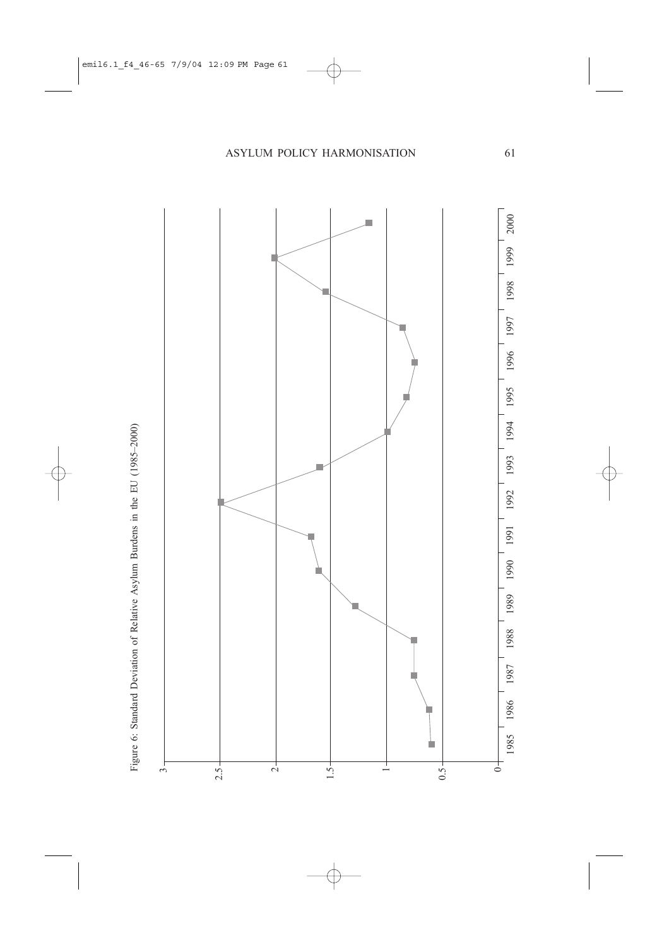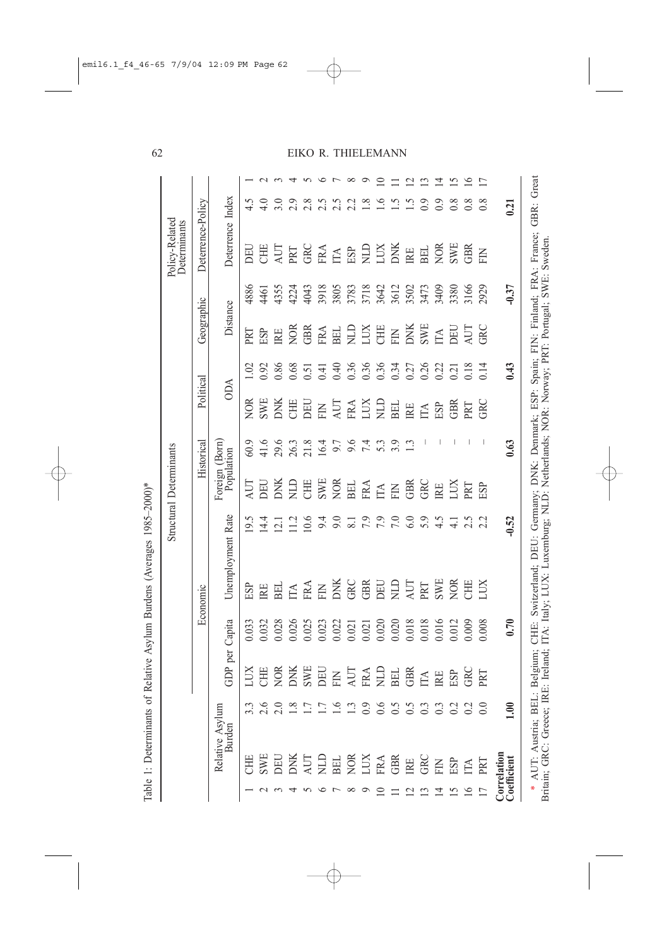| $\frac{1}{2}$       |
|---------------------|
| $50 - 50$<br>Ì      |
| $\overline{a}$<br>J |
|                     |
|                     |
|                     |
| in a<br>١           |
| ı                   |
|                     |
|                     |
|                     |
| $\mathbf{1}$        |
|                     |
| 5<br>1<br>1         |
|                     |
|                     |
|                     |
|                     |
|                     |
|                     |
|                     |
|                     |
|                     |
| í                   |
| í<br>í              |
|                     |
|                     |
| I                   |
| i                   |
|                     |
|                     |
|                     |
|                     |
| ļ                   |
|                     |
| ı                   |
|                     |
| ľ                   |
| ł                   |
|                     |

| Political<br>Historical<br>Foreign (Born)<br>Population<br>Unemployment Rate |           |                                                                                                                                                                                                                                                                                                     |
|------------------------------------------------------------------------------|-----------|-----------------------------------------------------------------------------------------------------------------------------------------------------------------------------------------------------------------------------------------------------------------------------------------------------|
|                                                                              |           | Economic                                                                                                                                                                                                                                                                                            |
|                                                                              |           | Capita<br>DP per                                                                                                                                                                                                                                                                                    |
| <b>NOR</b><br>aut<br>19.5                                                    | ESP       | 0.033                                                                                                                                                                                                                                                                                               |
| SWE<br>$60.9$<br>41.6<br>DEU<br>14.4                                         |           | $\begin{array}{l} 0.032 \\ 0.028 \\ 0.026 \\ 0.027 \\ 0.000 \\ 0.000 \\ 0.000 \\ 0.000 \\ 0.000 \\ 0.000 \\ 0.000 \\ 0.000 \\ 0.000 \\ 0.000 \\ 0.000 \\ 0.000 \\ 0.000 \\ 0.000 \\ 0.000 \\ 0.000 \\ 0.000 \\ 0.000 \\ 0.000 \\ 0.000 \\ 0.000 \\ 0.000 \\ 0.000 \\ 0.000 \\ 0.000 \\ 0.000 \\ 0.$ |
| DNK<br>29.6<br>26.3<br>21.8<br>DNK<br>$\overline{21}$                        | <b>NH</b> |                                                                                                                                                                                                                                                                                                     |
| CHE<br>Я<br>$\frac{2}{11}$                                                   |           |                                                                                                                                                                                                                                                                                                     |
| DEL<br>10.6                                                                  |           |                                                                                                                                                                                                                                                                                                     |
| 16.4<br>9.4                                                                  |           |                                                                                                                                                                                                                                                                                                     |
| CHE<br>SWE<br>NOR<br>BEL<br>9.0                                              |           |                                                                                                                                                                                                                                                                                                     |
| $7.6$<br>$7.6$<br>$7.4$<br>$\overline{\infty}$                               |           |                                                                                                                                                                                                                                                                                                     |
| EM EN GRE<br>7.9                                                             |           |                                                                                                                                                                                                                                                                                                     |
| 5.3<br>7.9                                                                   |           |                                                                                                                                                                                                                                                                                                     |
| BEL<br>3.9<br>7.0                                                            |           |                                                                                                                                                                                                                                                                                                     |
| $\mathbb R$<br>$\frac{3}{2}$<br>6.0                                          |           |                                                                                                                                                                                                                                                                                                     |
| $\mathbb H$<br>J,<br>5.9                                                     |           |                                                                                                                                                                                                                                                                                                     |
| ESP<br>4.5                                                                   |           |                                                                                                                                                                                                                                                                                                     |
| GBR<br>LUX<br>$\overline{4}$ .                                               |           |                                                                                                                                                                                                                                                                                                     |
| PRT<br>PRT<br>2.5                                                            |           |                                                                                                                                                                                                                                                                                                     |
| GRC<br>ESP<br>$\sim$                                                         | LIX       | 0.008                                                                                                                                                                                                                                                                                               |
| 0.63<br>$-0.52$                                                              |           | 0.70                                                                                                                                                                                                                                                                                                |

## 62

## EIKO R. THIELEMANN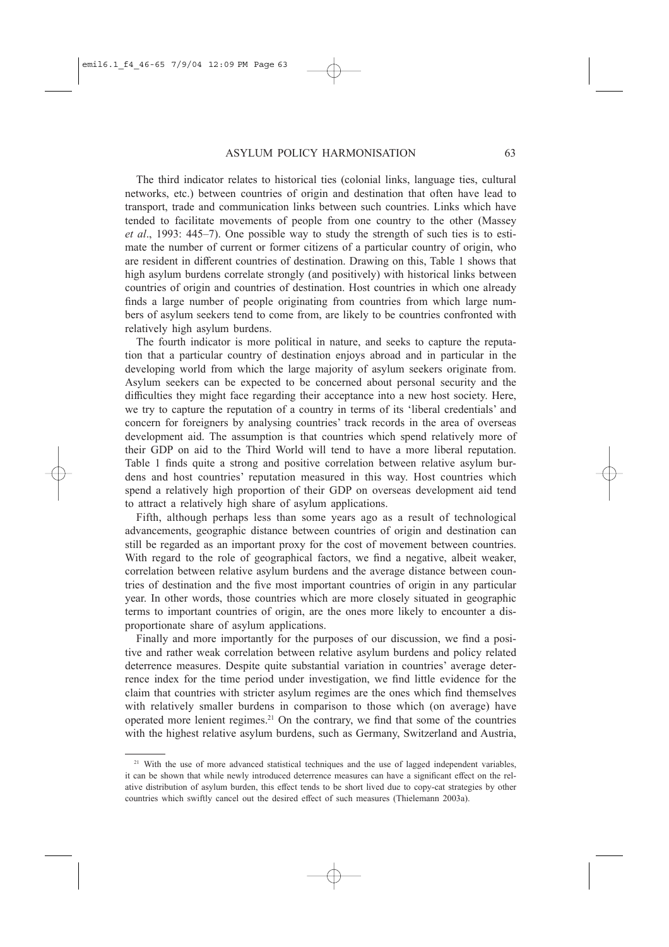The third indicator relates to historical ties (colonial links, language ties, cultural networks, etc.) between countries of origin and destination that often have lead to transport, trade and communication links between such countries. Links which have tended to facilitate movements of people from one country to the other (Massey et al., 1993: 445–7). One possible way to study the strength of such ties is to estimate the number of current or former citizens of a particular country of origin, who are resident in different countries of destination. Drawing on this, Table 1 shows that high asylum burdens correlate strongly (and positively) with historical links between countries of origin and countries of destination. Host countries in which one already finds a large number of people originating from countries from which large numbers of asylum seekers tend to come from, are likely to be countries confronted with relatively high asylum burdens.

The fourth indicator is more political in nature, and seeks to capture the reputation that a particular country of destination enjoys abroad and in particular in the developing world from which the large majority of asylum seekers originate from. Asylum seekers can be expected to be concerned about personal security and the difficulties they might face regarding their acceptance into a new host society. Here, we try to capture the reputation of a country in terms of its 'liberal credentials' and concern for foreigners by analysing countries' track records in the area of overseas development aid. The assumption is that countries which spend relatively more of their GDP on aid to the Third World will tend to have a more liberal reputation. Table 1 finds quite a strong and positive correlation between relative asylum burdens and host countries' reputation measured in this way. Host countries which spend a relatively high proportion of their GDP on overseas development aid tend to attract a relatively high share of asylum applications.

Fifth, although perhaps less than some years ago as a result of technological advancements, geographic distance between countries of origin and destination can still be regarded as an important proxy for the cost of movement between countries. With regard to the role of geographical factors, we find a negative, albeit weaker, correlation between relative asylum burdens and the average distance between countries of destination and the five most important countries of origin in any particular year. In other words, those countries which are more closely situated in geographic terms to important countries of origin, are the ones more likely to encounter a disproportionate share of asylum applications.

Finally and more importantly for the purposes of our discussion, we find a positive and rather weak correlation between relative asylum burdens and policy related deterrence measures. Despite quite substantial variation in countries' average deterrence index for the time period under investigation, we find little evidence for the claim that countries with stricter asylum regimes are the ones which find themselves with relatively smaller burdens in comparison to those which (on average) have operated more lenient regimes.<sup>21</sup> On the contrary, we find that some of the countries with the highest relative asylum burdens, such as Germany, Switzerland and Austria,

<sup>&</sup>lt;sup>21</sup> With the use of more advanced statistical techniques and the use of lagged independent variables, it can be shown that while newly introduced deterrence measures can have a significant effect on the relative distribution of asylum burden, this effect tends to be short lived due to copy-cat strategies by other countries which swiftly cancel out the desired effect of such measures (Thielemann 2003a).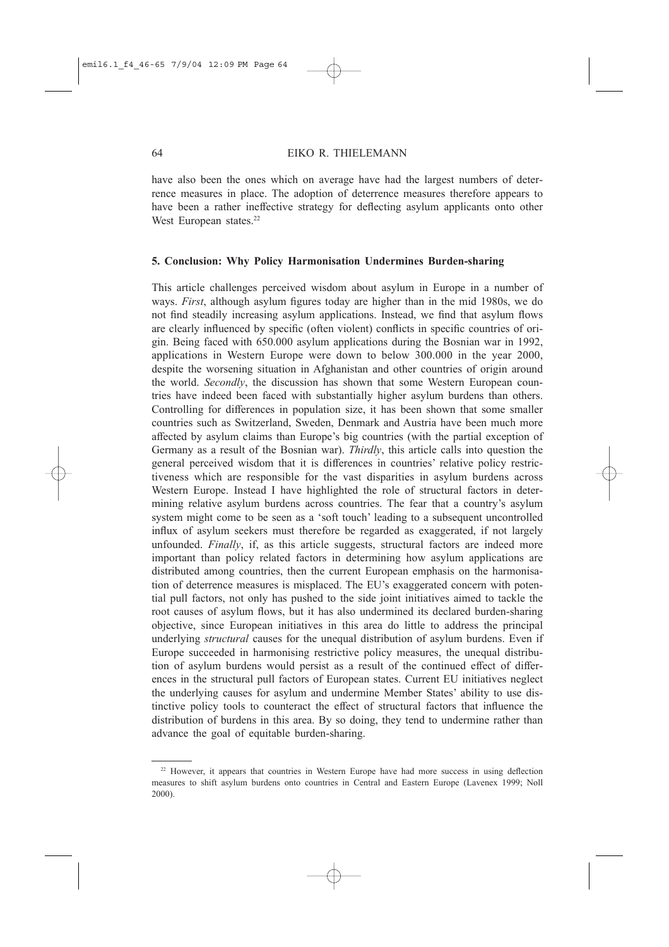have also been the ones which on average have had the largest numbers of deterrence measures in place. The adoption of deterrence measures therefore appears to have been a rather ineffective strategy for deflecting asylum applicants onto other West European states.<sup>22</sup>

## 5. Conclusion: Why Policy Harmonisation Undermines Burden-sharing

This article challenges perceived wisdom about asylum in Europe in a number of ways. *First*, although asylum figures today are higher than in the mid 1980s, we do not find steadily increasing asylum applications. Instead, we find that asylum flows are clearly influenced by specific (often violent) conflicts in specific countries of origin. Being faced with 650.000 asylum applications during the Bosnian war in 1992, applications in Western Europe were down to below 300.000 in the year 2000, despite the worsening situation in Afghanistan and other countries of origin around the world. Secondly, the discussion has shown that some Western European countries have indeed been faced with substantially higher asylum burdens than others. Controlling for differences in population size, it has been shown that some smaller countries such as Switzerland, Sweden, Denmark and Austria have been much more affected by asylum claims than Europe's big countries (with the partial exception of Germany as a result of the Bosnian war). *Thirdly*, this article calls into question the general perceived wisdom that it is differences in countries' relative policy restrictiveness which are responsible for the vast disparities in asylum burdens across Western Europe. Instead I have highlighted the role of structural factors in determining relative asylum burdens across countries. The fear that a country's asylum system might come to be seen as a 'soft touch' leading to a subsequent uncontrolled influx of asylum seekers must therefore be regarded as exaggerated, if not largely unfounded. Finally, if, as this article suggests, structural factors are indeed more important than policy related factors in determining how asylum applications are distributed among countries, then the current European emphasis on the harmonisation of deterrence measures is misplaced. The EU's exaggerated concern with potential pull factors, not only has pushed to the side joint initiatives aimed to tackle the root causes of asylum flows, but it has also undermined its declared burden-sharing objective, since European initiatives in this area do little to address the principal underlying *structural* causes for the unequal distribution of asylum burdens. Even if Europe succeeded in harmonising restrictive policy measures, the unequal distribution of asylum burdens would persist as a result of the continued effect of differences in the structural pull factors of European states. Current EU initiatives neglect the underlying causes for asylum and undermine Member States' ability to use distinctive policy tools to counteract the effect of structural factors that influence the distribution of burdens in this area. By so doing, they tend to undermine rather than advance the goal of equitable burden-sharing.

<sup>&</sup>lt;sup>22</sup> However, it appears that countries in Western Europe have had more success in using deflection measures to shift asylum burdens onto countries in Central and Eastern Europe (Lavenex 1999; Noll 2000).